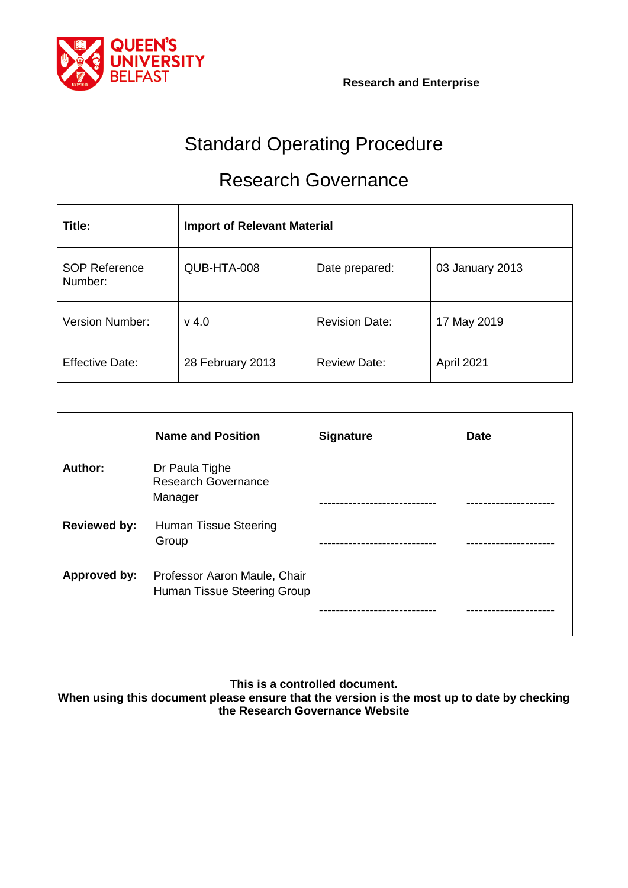

# Standard Operating Procedure

# Research Governance

| Title:                          | <b>Import of Relevant Material</b> |                       |                 |
|---------------------------------|------------------------------------|-----------------------|-----------------|
| <b>SOP Reference</b><br>Number: | QUB-HTA-008                        | Date prepared:        | 03 January 2013 |
| <b>Version Number:</b>          | $v$ 4.0                            | <b>Revision Date:</b> | 17 May 2019     |
| <b>Effective Date:</b>          | 28 February 2013                   | <b>Review Date:</b>   | April 2021      |

|                     | <b>Name and Position</b>                                    | <b>Signature</b> | <b>Date</b> |
|---------------------|-------------------------------------------------------------|------------------|-------------|
| Author:             | Dr Paula Tighe<br><b>Research Governance</b><br>Manager     |                  |             |
| <b>Reviewed by:</b> | <b>Human Tissue Steering</b><br>Group                       |                  |             |
| Approved by:        | Professor Aaron Maule, Chair<br>Human Tissue Steering Group |                  |             |

**This is a controlled document.**

**When using this document please ensure that the version is the most up to date by checking the Research Governance Website**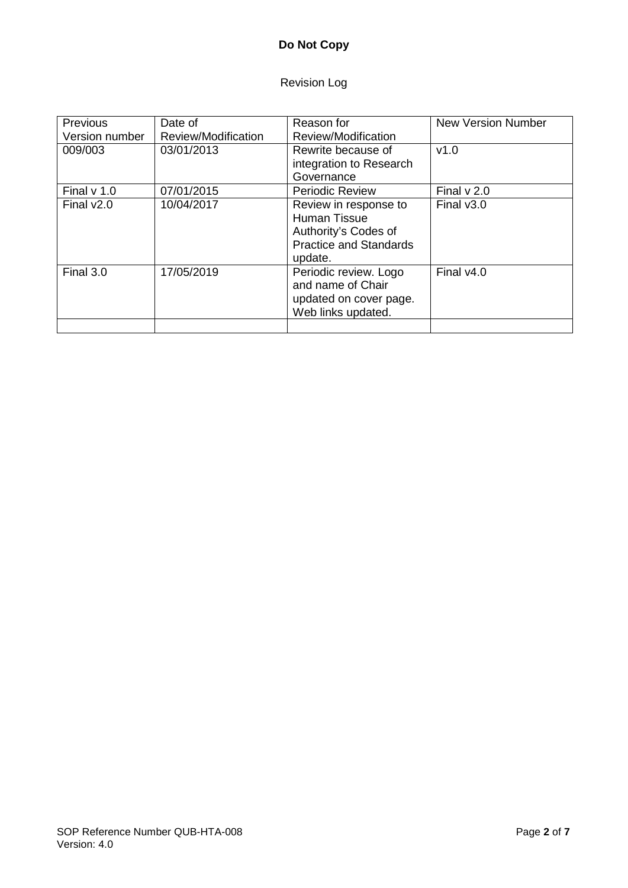# **Do Not Copy**

# Revision Log

| <b>Previous</b> | Date of             | Reason for                                                                                                | New Version Number |
|-----------------|---------------------|-----------------------------------------------------------------------------------------------------------|--------------------|
| Version number  | Review/Modification | Review/Modification                                                                                       |                    |
| 009/003         | 03/01/2013          | Rewrite because of                                                                                        | v1.0               |
|                 |                     | integration to Research                                                                                   |                    |
|                 |                     | Governance                                                                                                |                    |
| Final $v$ 1.0   | 07/01/2015          | <b>Periodic Review</b>                                                                                    | Final $v$ 2.0      |
| Final $v2.0$    | 10/04/2017          | Review in response to<br>Human Tissue<br>Authority's Codes of<br><b>Practice and Standards</b><br>update. | Final $v3.0$       |
| Final 3.0       | 17/05/2019          | Periodic review. Logo<br>and name of Chair<br>updated on cover page.<br>Web links updated.                | Final $v4.0$       |
|                 |                     |                                                                                                           |                    |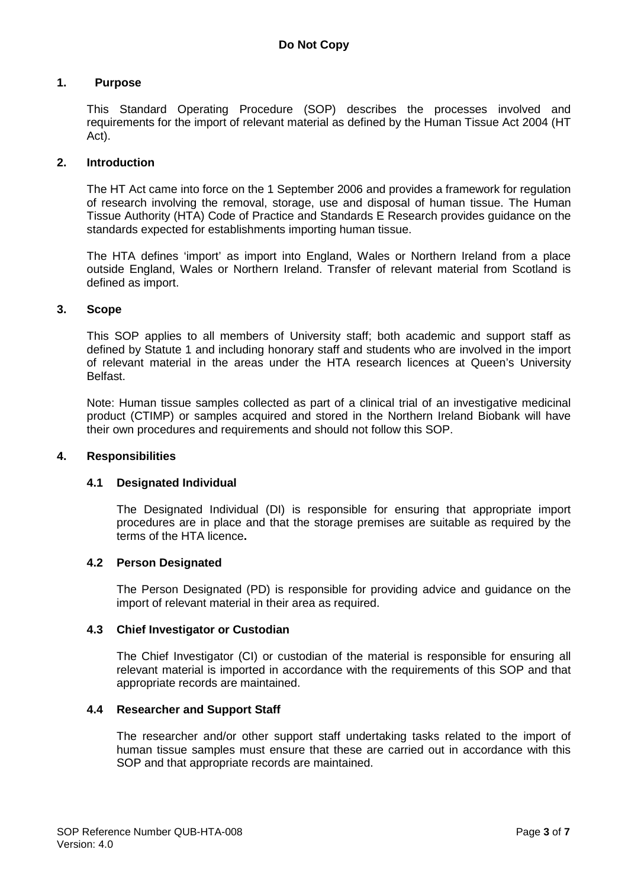#### **1. Purpose**

This Standard Operating Procedure (SOP) describes the processes involved and requirements for the import of relevant material as defined by the Human Tissue Act 2004 (HT Act).

#### **2. Introduction**

The HT Act came into force on the 1 September 2006 and provides a framework for regulation of research involving the removal, storage, use and disposal of human tissue. The Human Tissue Authority (HTA) Code of Practice and Standards E Research provides guidance on the standards expected for establishments importing human tissue.

The HTA defines 'import' as import into England, Wales or Northern Ireland from a place outside England, Wales or Northern Ireland. Transfer of relevant material from Scotland is defined as import.

#### **3. Scope**

This SOP applies to all members of University staff; both academic and support staff as defined by Statute 1 and including honorary staff and students who are involved in the import of relevant material in the areas under the HTA research licences at Queen's University Belfast.

Note: Human tissue samples collected as part of a clinical trial of an investigative medicinal product (CTIMP) or samples acquired and stored in the Northern Ireland Biobank will have their own procedures and requirements and should not follow this SOP.

#### **4. Responsibilities**

#### **4.1 Designated Individual**

The Designated Individual (DI) is responsible for ensuring that appropriate import procedures are in place and that the storage premises are suitable as required by the terms of the HTA licence**.**

#### **4.2 Person Designated**

The Person Designated (PD) is responsible for providing advice and guidance on the import of relevant material in their area as required.

#### **4.3 Chief Investigator or Custodian**

The Chief Investigator (CI) or custodian of the material is responsible for ensuring all relevant material is imported in accordance with the requirements of this SOP and that appropriate records are maintained.

#### **4.4 Researcher and Support Staff**

The researcher and/or other support staff undertaking tasks related to the import of human tissue samples must ensure that these are carried out in accordance with this SOP and that appropriate records are maintained.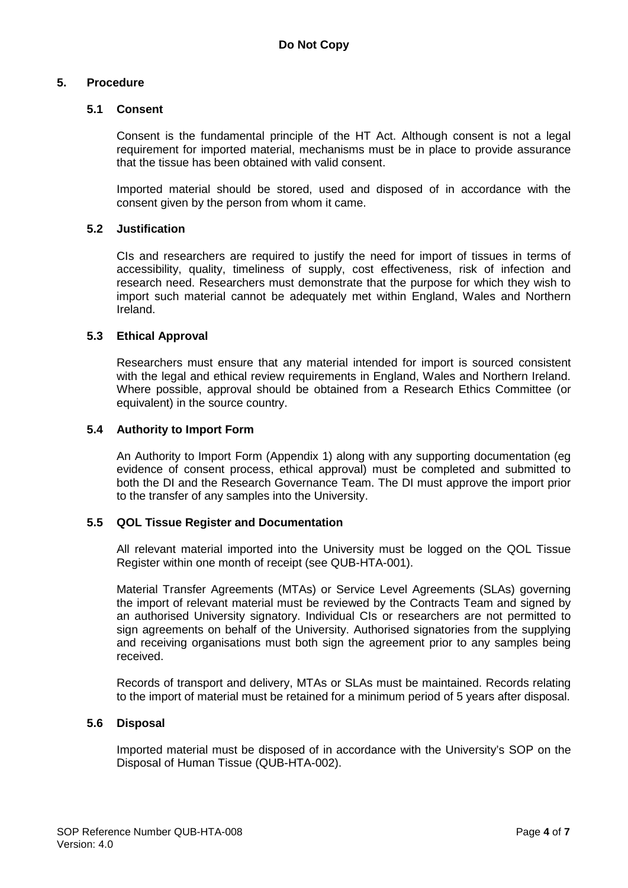#### **5. Procedure**

#### **5.1 Consent**

Consent is the fundamental principle of the HT Act. Although consent is not a legal requirement for imported material, mechanisms must be in place to provide assurance that the tissue has been obtained with valid consent.

Imported material should be stored, used and disposed of in accordance with the consent given by the person from whom it came.

#### **5.2 Justification**

CIs and researchers are required to justify the need for import of tissues in terms of accessibility, quality, timeliness of supply, cost effectiveness, risk of infection and research need. Researchers must demonstrate that the purpose for which they wish to import such material cannot be adequately met within England, Wales and Northern Ireland.

#### **5.3 Ethical Approval**

Researchers must ensure that any material intended for import is sourced consistent with the legal and ethical review requirements in England, Wales and Northern Ireland. Where possible, approval should be obtained from a Research Ethics Committee (or equivalent) in the source country.

#### **5.4 Authority to Import Form**

An Authority to Import Form (Appendix 1) along with any supporting documentation (eg evidence of consent process, ethical approval) must be completed and submitted to both the DI and the Research Governance Team. The DI must approve the import prior to the transfer of any samples into the University.

#### **5.5 QOL Tissue Register and Documentation**

All relevant material imported into the University must be logged on the QOL Tissue Register within one month of receipt (see QUB-HTA-001).

Material Transfer Agreements (MTAs) or Service Level Agreements (SLAs) governing the import of relevant material must be reviewed by the Contracts Team and signed by an authorised University signatory. Individual CIs or researchers are not permitted to sign agreements on behalf of the University. Authorised signatories from the supplying and receiving organisations must both sign the agreement prior to any samples being received.

Records of transport and delivery, MTAs or SLAs must be maintained. Records relating to the import of material must be retained for a minimum period of 5 years after disposal.

#### **5.6 Disposal**

Imported material must be disposed of in accordance with the University's SOP on the Disposal of Human Tissue (QUB-HTA-002).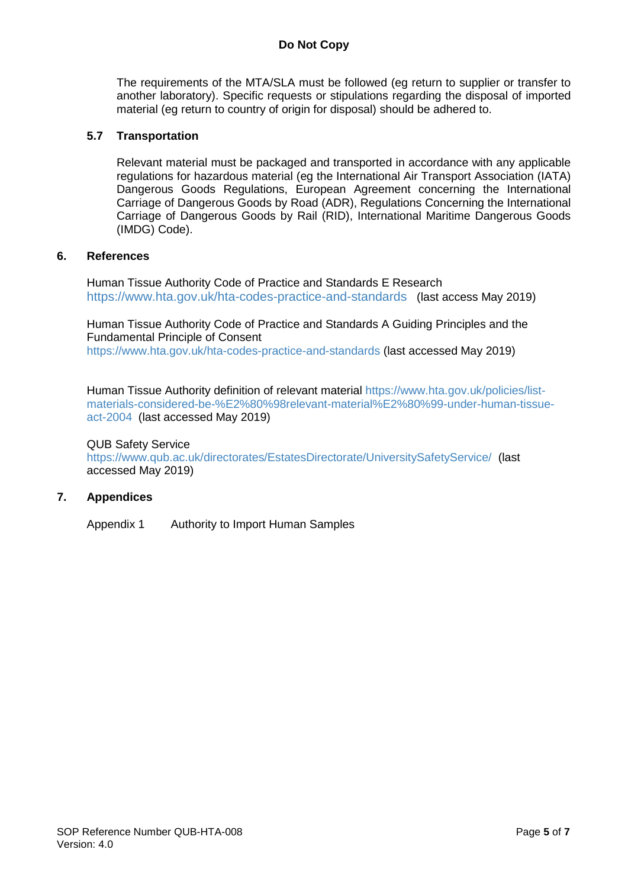### **Do Not Copy**

The requirements of the MTA/SLA must be followed (eg return to supplier or transfer to another laboratory). Specific requests or stipulations regarding the disposal of imported material (eg return to country of origin for disposal) should be adhered to.

#### **5.7 Transportation**

Relevant material must be packaged and transported in accordance with any applicable regulations for hazardous material (eg the International Air Transport Association (IATA) Dangerous Goods Regulations, European Agreement concerning the International Carriage of Dangerous Goods by Road (ADR), Regulations Concerning the International Carriage of Dangerous Goods by Rail (RID), International Maritime Dangerous Goods (IMDG) Code).

#### **6. References**

Human Tissue Authority Code of Practice and Standards E Research <https://www.hta.gov.uk/hta-codes-practice-and-standards> (last access May 2019)

Human Tissue Authority Code of Practice and Standards A Guiding Principles and the Fundamental Principle of Consent <https://www.hta.gov.uk/hta-codes-practice-and-standards> (last accessed May 2019)

Human Tissue Authority definition of relevant material [https://www.hta.gov.uk/policies/list](https://www.hta.gov.uk/policies/list-materials-considered-be-%E2%80%98relevant-material%E2%80%99-under-human-tissue-act-2004)[materials-considered-be-%E2%80%98relevant-material%E2%80%99-under-human-tissue](https://www.hta.gov.uk/policies/list-materials-considered-be-%E2%80%98relevant-material%E2%80%99-under-human-tissue-act-2004)[act-2004](https://www.hta.gov.uk/policies/list-materials-considered-be-%E2%80%98relevant-material%E2%80%99-under-human-tissue-act-2004) (last accessed May 2019)

#### QUB Safety Service

<https://www.qub.ac.uk/directorates/EstatesDirectorate/UniversitySafetyService/> (last accessed May 2019)

#### **7. Appendices**

Appendix 1 Authority to Import Human Samples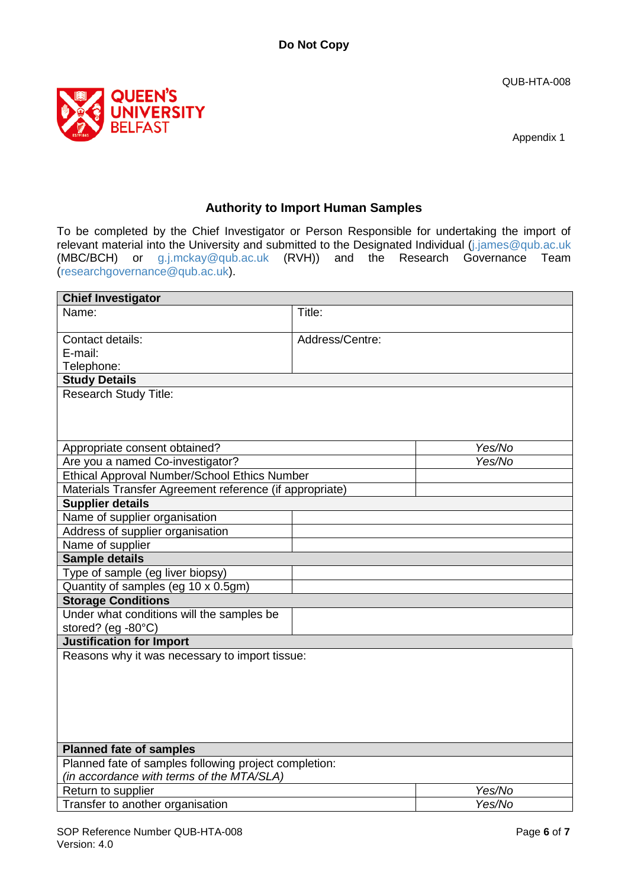QUB-HTA-008



Appendix 1

## **Authority to Import Human Samples**

To be completed by the Chief Investigator or Person Responsible for undertaking the import of relevant material into the University and submitted to the Designated Individual [\(j.james@qub.ac.uk](mailto:j.james@qub.ac.uk) (MBC/BCH) or [g.j.mckay@qub.ac.uk](mailto:g.j.mckay@qub.ac.uk) (RVH)) and the Research Governance Team [\(researchgovernance@qub.ac.uk\)](mailto:researchgovernance@qub.ac.uk).

| <b>Chief Investigator</b>                               |                 |  |  |  |
|---------------------------------------------------------|-----------------|--|--|--|
| Name:                                                   | Title:          |  |  |  |
| Contact details:                                        | Address/Centre: |  |  |  |
| E-mail:                                                 |                 |  |  |  |
| Telephone:                                              |                 |  |  |  |
| <b>Study Details</b>                                    |                 |  |  |  |
| <b>Research Study Title:</b>                            |                 |  |  |  |
| Appropriate consent obtained?                           | Yes/No          |  |  |  |
| Are you a named Co-investigator?                        | Yes/No          |  |  |  |
| Ethical Approval Number/School Ethics Number            |                 |  |  |  |
| Materials Transfer Agreement reference (if appropriate) |                 |  |  |  |
| <b>Supplier details</b>                                 |                 |  |  |  |
| Name of supplier organisation                           |                 |  |  |  |
| Address of supplier organisation                        |                 |  |  |  |
| Name of supplier                                        |                 |  |  |  |
| <b>Sample details</b>                                   |                 |  |  |  |
| Type of sample (eg liver biopsy)                        |                 |  |  |  |
| Quantity of samples (eg 10 x 0.5gm)                     |                 |  |  |  |
| <b>Storage Conditions</b>                               |                 |  |  |  |
| Under what conditions will the samples be               |                 |  |  |  |
| stored? (eg -80°C)                                      |                 |  |  |  |
| <b>Justification for Import</b>                         |                 |  |  |  |
| Reasons why it was necessary to import tissue:          |                 |  |  |  |
|                                                         |                 |  |  |  |
| <b>Planned fate of samples</b>                          |                 |  |  |  |
| Planned fate of samples following project completion:   |                 |  |  |  |
| (in accordance with terms of the MTA/SLA)               |                 |  |  |  |
| Return to supplier                                      | Yes/No          |  |  |  |
| Transfer to another organisation                        | Yes/No          |  |  |  |